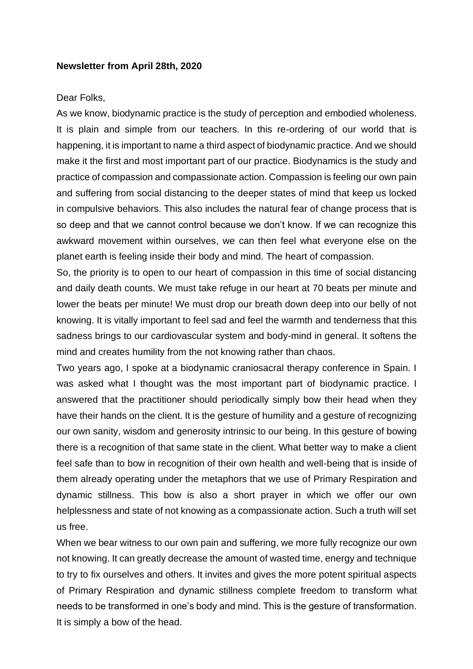## **Newsletter from April 28th, 2020**

## Dear Folks,

As we know, biodynamic practice is the study of perception and embodied wholeness. It is plain and simple from our teachers. In this re-ordering of our world that is happening, it is important to name a third aspect of biodynamic practice. And we should make it the first and most important part of our practice. Biodynamics is the study and practice of compassion and compassionate action. Compassion is feeling our own pain and suffering from social distancing to the deeper states of mind that keep us locked in compulsive behaviors. This also includes the natural fear of change process that is so deep and that we cannot control because we don't know. If we can recognize this awkward movement within ourselves, we can then feel what everyone else on the planet earth is feeling inside their body and mind. The heart of compassion.

So, the priority is to open to our heart of compassion in this time of social distancing and daily death counts. We must take refuge in our heart at 70 beats per minute and lower the beats per minute! We must drop our breath down deep into our belly of not knowing. It is vitally important to feel sad and feel the warmth and tenderness that this sadness brings to our cardiovascular system and body-mind in general. It softens the mind and creates humility from the not knowing rather than chaos.

Two years ago, I spoke at a biodynamic craniosacral therapy conference in Spain. I was asked what I thought was the most important part of biodynamic practice. I answered that the practitioner should periodically simply bow their head when they have their hands on the client. It is the gesture of humility and a gesture of recognizing our own sanity, wisdom and generosity intrinsic to our being. In this gesture of bowing there is a recognition of that same state in the client. What better way to make a client feel safe than to bow in recognition of their own health and well-being that is inside of them already operating under the metaphors that we use of Primary Respiration and dynamic stillness. This bow is also a short prayer in which we offer our own helplessness and state of not knowing as a compassionate action. Such a truth will set us free.

When we bear witness to our own pain and suffering, we more fully recognize our own not knowing. It can greatly decrease the amount of wasted time, energy and technique to try to fix ourselves and others. It invites and gives the more potent spiritual aspects of Primary Respiration and dynamic stillness complete freedom to transform what needs to be transformed in one's body and mind. This is the gesture of transformation. It is simply a bow of the head.